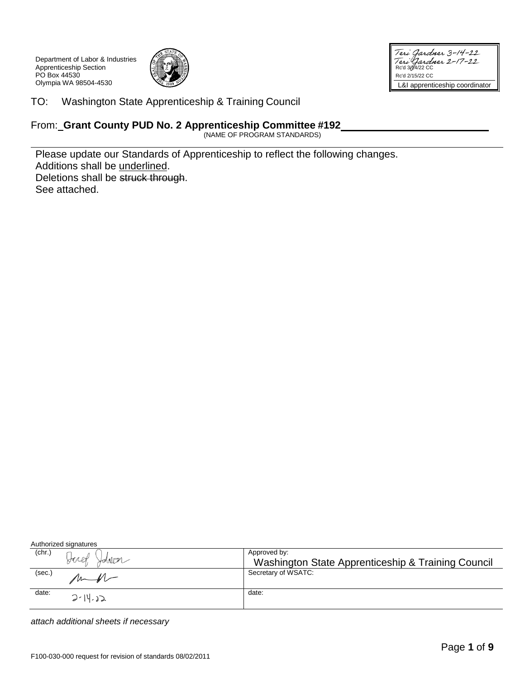Department of Labor & Industries Apprenticeship Section PO Box 44530 Olympia WA 98504-4530



Teri Gardner 3-14-22<br>Teri Gardner 2-17-22<br>Rc'd 30422 CC Rc'd 2/15/22 CC L&I apprenticeship coordinator

TO: Washington State Apprenticeship & Training Council

## From: **Grant County PUD No. 2 Apprenticeship Committee #192**

(NAME OF PROGRAM STANDARDS)

Please update our Standards of Apprenticeship to reflect the following changes. Additions shall be underlined. Deletions shall be struck through. See attached.

Authorized signatures

| (chr.) | Juel<br>Hohelm | Approved by:<br>Washington State Apprenticeship & Training Council |
|--------|----------------|--------------------------------------------------------------------|
| (sec.) | $\Lambda$      | Secretary of WSATC:                                                |
| date:  | $2 - 14.32$    | date:                                                              |

*attach additional sheets if necessary*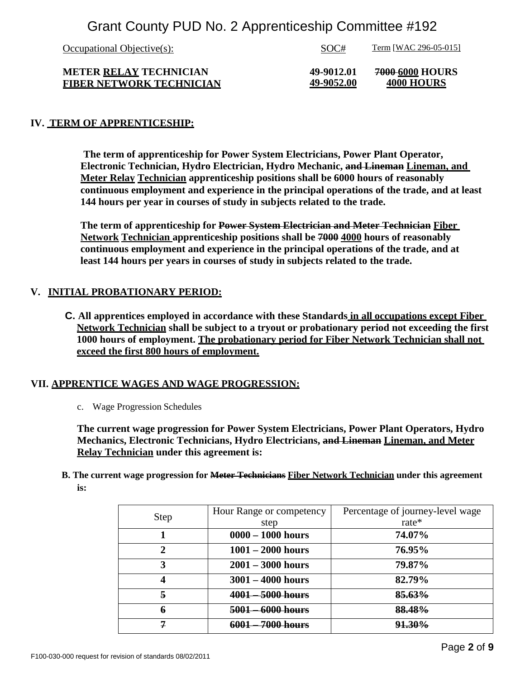| Occupational Objective $(s)$ : | SOC#       | <u>Term</u> [WAC 296-05-015] |
|--------------------------------|------------|------------------------------|
| <b>METER RELAY TECHNICIAN</b>  | 49-9012.01 | 7000-6000 HOURS              |
| FIBER NETWORK TECHNICIAN       | 49-9052.00 | 4000 HOURS                   |

### **IV. TERM OF APPRENTICESHIP:**

**The term of apprenticeship for Power System Electricians, Power Plant Operator, Electronic Technician, Hydro Electrician, Hydro Mechanic, and Lineman Lineman, and Meter Relay Technician apprenticeship positions shall be 6000 hours of reasonably continuous employment and experience in the principal operations of the trade, and at least 144 hours per year in courses of study in subjects related to the trade.**

**The term of apprenticeship for Power System Electrician and Meter Technician Fiber Network Technician apprenticeship positions shall be 7000 4000 hours of reasonably continuous employment and experience in the principal operations of the trade, and at least 144 hours per years in courses of study in subjects related to the trade.**

#### **V. INITIAL PROBATIONARY PERIOD:**

**C. All apprentices employed in accordance with these Standards in all occupations except Fiber Network Technician shall be subject to a tryout or probationary period not exceeding the first 1000 hours of employment. The probationary period for Fiber Network Technician shall not exceed the first 800 hours of employment.**

#### **VII. APPRENTICE WAGES AND WAGE PROGRESSION:**

c. Wage Progression Schedules

**The current wage progression for Power System Electricians, Power Plant Operators, Hydro Mechanics, Electronic Technicians, Hydro Electricians, and Lineman Lineman, and Meter Relay Technician under this agreement is:**

**B. The current wage progression for Meter Technicians Fiber Network Technician under this agreement is:**

| <b>Step</b>    | Hour Range or competency | Percentage of journey-level wage |
|----------------|--------------------------|----------------------------------|
|                | step                     | rate $*$                         |
|                | $0000 - 1000$ hours      | 74.07%                           |
| 2              | $1001 - 2000$ hours      | 76.95%                           |
| 3              | $2001 - 3000$ hours      | 79.87%                           |
| 4              | $3001 - 4000$ hours      | 82.79%                           |
| 5              | 4001<br>5000 hours       | 85.63%                           |
| 6              | 6000 hours<br>5001       | 88.48%                           |
| $\overline{7}$ | <u> 6001</u><br>ліірс    | <b>91.30%</b>                    |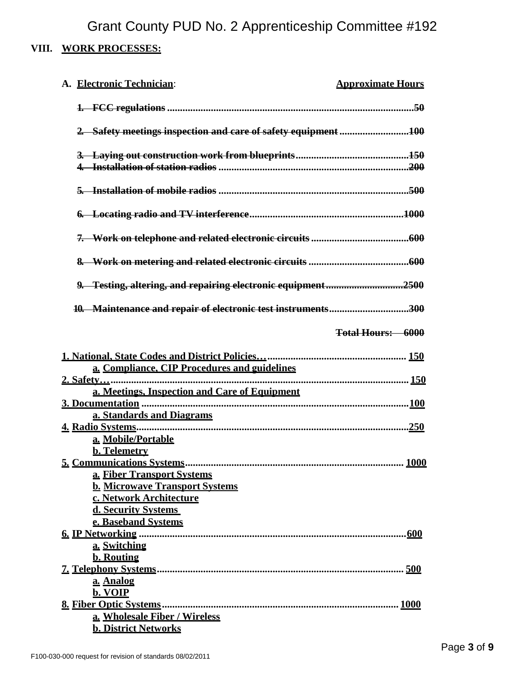# **VIII. WORK PROCESSES:**

| A. Electronic Technician:                                        | <b>Approximate Hours</b> |
|------------------------------------------------------------------|--------------------------|
|                                                                  |                          |
| 2. Safety meetings inspection and care of safety equipment 100   |                          |
|                                                                  |                          |
|                                                                  |                          |
|                                                                  |                          |
|                                                                  |                          |
|                                                                  |                          |
|                                                                  |                          |
| 10. Maintenance and repair of electronic test instruments300     |                          |
|                                                                  | <b>Total Hours: 6000</b> |
|                                                                  |                          |
|                                                                  |                          |
| a. Compliance, CIP Procedures and guidelines                     |                          |
|                                                                  |                          |
| a. Meetings, Inspection and Care of Equipment                    |                          |
|                                                                  |                          |
| a. Standards and Diagrams                                        |                          |
|                                                                  |                          |
| a. Mobile/Portable                                               |                          |
| b. Telemetry                                                     |                          |
| 5. Communications Systems                                        | <b>1000</b>              |
| <b>a. Fiber Transport Systems</b>                                |                          |
| <b>b. Microwave Transport Systems</b><br>c. Network Architecture |                          |
| d. Security Systems                                              |                          |
| e. Baseband Systems                                              |                          |
|                                                                  |                          |
| a. Switching                                                     |                          |
| <b>b.</b> Routing                                                |                          |
|                                                                  |                          |
| a. Analog                                                        |                          |
| b. VOIP                                                          |                          |
| a. Wholesale Fiber / Wireless                                    |                          |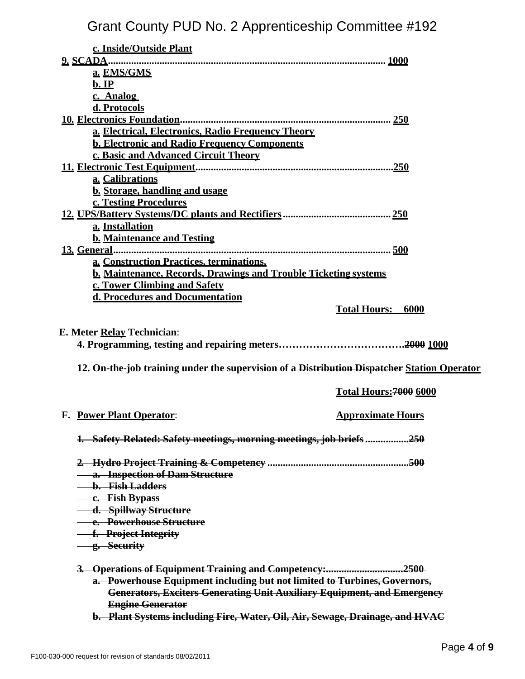| c. Inside/Outside Plant                                                                     |                               |
|---------------------------------------------------------------------------------------------|-------------------------------|
|                                                                                             |                               |
| a. EMS/GMS                                                                                  |                               |
| $b.$ IP                                                                                     |                               |
| c. Analog                                                                                   |                               |
| d. Protocols                                                                                |                               |
|                                                                                             |                               |
| a. Electrical, Electronics, Radio Frequency Theory                                          |                               |
| <b>b. Electronic and Radio Frequency Components</b>                                         |                               |
| c. Basic and Advanced Circuit Theory                                                        |                               |
|                                                                                             |                               |
| a. Calibrations                                                                             |                               |
| <b>b.</b> Storage, handling and usage                                                       |                               |
| c. Testing Procedures                                                                       |                               |
|                                                                                             |                               |
| a. Installation                                                                             |                               |
| <b>b. Maintenance and Testing</b>                                                           |                               |
|                                                                                             |                               |
| a. Construction Practices, terminations,                                                    |                               |
| <b>b. Maintenance, Records, Drawings and Trouble Ticketing systems</b>                      |                               |
| c. Tower Climbing and Safety                                                                |                               |
| d. Procedures and Documentation                                                             |                               |
|                                                                                             | <b>Total Hours: 6000</b>      |
|                                                                                             |                               |
| E. Meter Relay Technician:                                                                  |                               |
|                                                                                             |                               |
|                                                                                             |                               |
| 12. On-the-job training under the supervision of a Distribution Dispatcher Station Operator |                               |
|                                                                                             | <b>Total Hours: 7000 6000</b> |
|                                                                                             |                               |
| <b>F. Power Plant Operator:</b>                                                             | <b>Approximate Hours</b>      |
|                                                                                             |                               |
| 1. Safety-Related: Safety meetings, morning meetings, job briefs 250                        |                               |
|                                                                                             |                               |
|                                                                                             |                               |
| a. Inspection of Dam Structure                                                              |                               |
| <u>— b. Fish Ladders</u>                                                                    |                               |
| - e. Fish Bypass                                                                            |                               |
| - d. Spillway Structure                                                                     |                               |
| <b>- e. Powerhouse Structure</b>                                                            |                               |
| -f. Project Integrity                                                                       |                               |
| <u>— g. Security</u>                                                                        |                               |
| 3. Operations of Equipment Training and Competency:2500                                     |                               |
| a. Powerhouse Equipment including but not limited to Turbines, Governors,                   |                               |
| <b>Generators, Exciters Generating Unit Auxiliary Equipment, and Emergency</b>              |                               |
| <b>Engine Generator</b>                                                                     |                               |
| b. Plant Systems including Fire, Water, Oil, Air, Sewage, Drainage, and HVAC                |                               |
|                                                                                             |                               |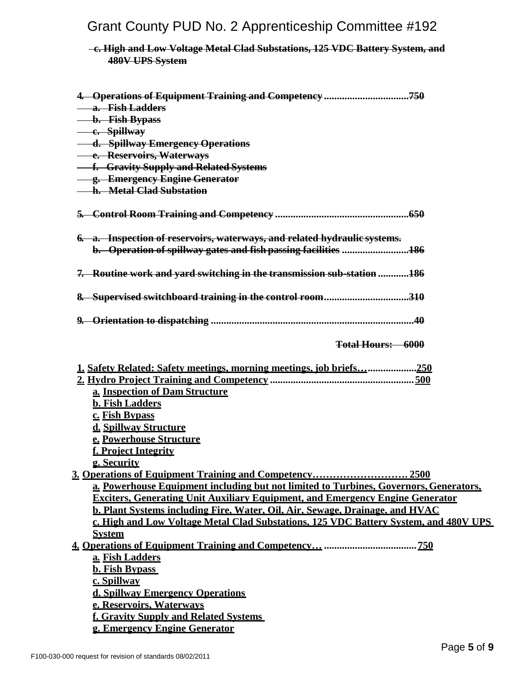## **c. High and Low Voltage Metal Clad Substations, 125 VDC Battery System, and 480V UPS System**

| 4. Operations of Equipment Training and Competency 750                                |
|---------------------------------------------------------------------------------------|
| <b>- a. Fish Ladders</b>                                                              |
| <b>b.</b> Fish Bypass                                                                 |
| - e. Spillway                                                                         |
| - d. Spillway Emergency Operations                                                    |
| <b>- e. Reservoirs, Waterways</b>                                                     |
| <b>-- f. Gravity Supply and Related Systems</b>                                       |
| - g. Emergency Engine Generator                                                       |
| - h. Metal Clad Substation                                                            |
|                                                                                       |
| 6. a. Inspection of reservoirs, waterways, and related hydraulic systems.             |
| b. Operation of spillway gates and fish passing facilities 186                        |
|                                                                                       |
| <del>7. Routine work and yard switching in the transmission sub-station</del> 186     |
| 8. Supervised switchboard training in the control room310                             |
|                                                                                       |
|                                                                                       |
| <b>Total Hours: 6000</b>                                                              |
| <u>1. Safety Related: Safety meetings, morning meetings, job briefs</u> 250           |
|                                                                                       |
| a. Inspection of Dam Structure                                                        |
| <b>b. Fish Ladders</b>                                                                |
| c. Fish Bypass                                                                        |
| d. Spillway Structure                                                                 |
| e. Powerhouse Structure                                                               |
| f. Project Integrity                                                                  |
| g. Security                                                                           |
| 3. Operations of Equipment Training and Competency 2500                               |
| a. Powerhouse Equipment including but not limited to Turbines, Governors, Generators, |
| <b>Exciters, Generating Unit Auxiliary Equipment, and Emergency Engine Generator</b>  |
| <b>b. Plant Systems including Fire, Water, Oil, Air, Sewage, Drainage, and HVAC</b>   |
| c. High and Low Voltage Metal Clad Substations. 125 VDC Battery System. and 480V UPS  |
| <b>System</b>                                                                         |
|                                                                                       |
| a. Fish Ladders                                                                       |
| <b>b. Fish Bypass</b>                                                                 |
| c. Spillway                                                                           |
| d. Spillway Emergency Operations                                                      |
| e. Reservoirs, Waterways                                                              |
| f. Gravity Supply and Related Systems                                                 |
| g. Emergency Engine Generator                                                         |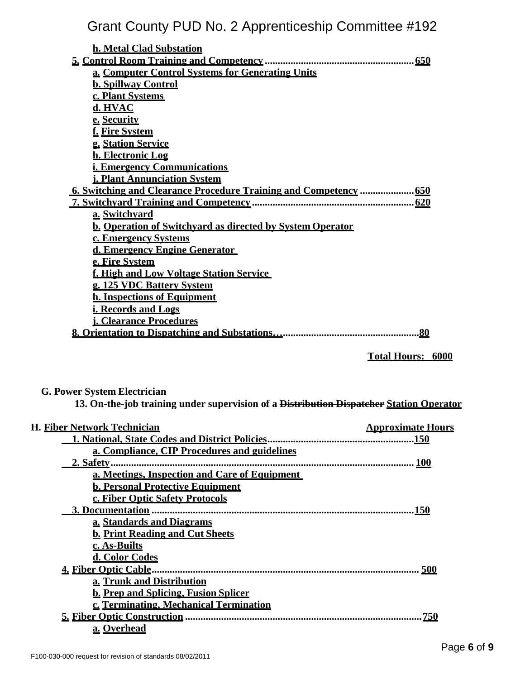| h. Metal Clad Substation                                         |                          |  |
|------------------------------------------------------------------|--------------------------|--|
|                                                                  |                          |  |
| a. Computer Control Systems for Generating Units                 |                          |  |
| <b>b. Spillway Control</b>                                       |                          |  |
| c. Plant Systems                                                 |                          |  |
| d. HVAC                                                          |                          |  |
| e. Security                                                      |                          |  |
| f. Fire System                                                   |                          |  |
| g. Station Service                                               |                          |  |
| h. Electronic Log                                                |                          |  |
| <u>i. Emergency Communications</u>                               |                          |  |
| <b>j. Plant Annunciation System</b>                              |                          |  |
|                                                                  |                          |  |
|                                                                  |                          |  |
| a. Switchvard                                                    |                          |  |
| <b>b. Operation of Switchvard as directed by System Operator</b> |                          |  |
| c. Emergency Systems                                             |                          |  |
| d. Emergency Engine Generator                                    |                          |  |
| e. Fire System                                                   |                          |  |
| f. High and Low Voltage Station Service                          |                          |  |
| g. 125 VDC Battery System                                        |                          |  |
| <b>h. Inspections of Equipment</b>                               |                          |  |
| i. Records and Logs                                              |                          |  |
| <b>i. Clearance Procedures</b>                                   |                          |  |
|                                                                  | .80                      |  |
|                                                                  |                          |  |
|                                                                  | <b>Total Hours: 6000</b> |  |
|                                                                  |                          |  |
|                                                                  |                          |  |

## **G. Power System Electrician**

**13. On-the-job training under supervision of a Distribution Dispatcher Station Operator** 

| <b>H. Fiber Network Technician</b>            | <b>Approximate Hours</b> |
|-----------------------------------------------|--------------------------|
|                                               |                          |
| a. Compliance, CIP Procedures and guidelines  |                          |
| 2. Safety                                     |                          |
| a. Meetings, Inspection and Care of Equipment |                          |
| <b>b. Personal Protective Equipment</b>       |                          |
| c. Fiber Optic Safety Protocols               |                          |
|                                               | <u>150</u>               |
| a. Standards and Diagrams                     |                          |
| <b>b. Print Reading and Cut Sheets</b>        |                          |
| c. As-Builts                                  |                          |
| d. Color Codes                                |                          |
|                                               |                          |
| a. Trunk and Distribution                     |                          |
| <b>b. Prep and Splicing, Fusion Splicer</b>   |                          |
| c. Terminating. Mechanical Termination        |                          |
|                                               | . <u>750</u>             |
| a. Overhead                                   |                          |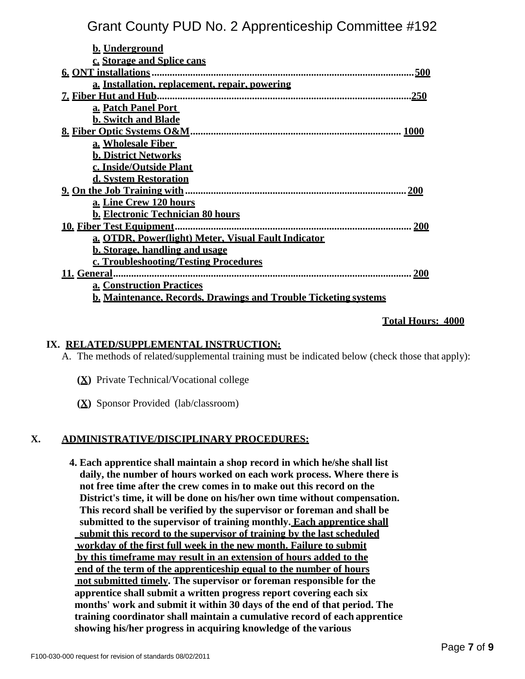| <b>b.</b> Underground                                                  |
|------------------------------------------------------------------------|
| c. Storage and Splice cans                                             |
| 6. ONT installations.<br>500                                           |
| a. Installation, replacement, repair, powering                         |
| <u>.250</u>                                                            |
| a. Patch Panel Port                                                    |
| <b>b. Switch and Blade</b>                                             |
| <b>1000</b>                                                            |
| a. Wholesale Fiber                                                     |
| <b>b. District Networks</b>                                            |
| c. Inside/Outside Plant                                                |
| d. System Restoration                                                  |
| <b>200</b>                                                             |
| a. Line Crew 120 hours                                                 |
| <b>b. Electronic Technician 80 hours</b>                               |
|                                                                        |
| a. OTDR, Power(light) Meter, Visual Fault Indicator                    |
| <b>b. Storage, handling and usage</b>                                  |
| c. Troubleshooting/Testing Procedures                                  |
| 200                                                                    |
| <b>a. Construction Practices</b>                                       |
| <b>b. Maintenance, Records, Drawings and Trouble Ticketing systems</b> |

#### **Total Hours: 4000**

#### **IX. RELATED/SUPPLEMENTAL INSTRUCTION:**

A. The methods of related/supplemental training must be indicated below (check those that apply):

- **(X)** Private Technical/Vocational college
- **(X)** Sponsor Provided (lab/classroom)

#### **X. ADMINISTRATIVE/DISCIPLINARY PROCEDURES:**

**4. Each apprentice shall maintain a shop record in which he/she shall list daily, the number of hours worked on each work process. Where there is not free time after the crew comes in to make out this record on the District's time, it will be done on his/her own time without compensation. This record shall be verified by the supervisor or foreman and shall be submitted to the supervisor of training monthly. Each apprentice shall submit this record to the supervisor of training by the last scheduled workday of the first full week in the new month. Failure to submit by this timeframe may result in an extension of hours added to the end of the term of the apprenticeship equal to the number of hours not submitted timely. The supervisor or foreman responsible for the apprentice shall submit a written progress report covering each six months' work and submit it within 30 days of the end of that period. The training coordinator shall maintain a cumulative record of each apprentice showing his/her progress in acquiring knowledge of the various**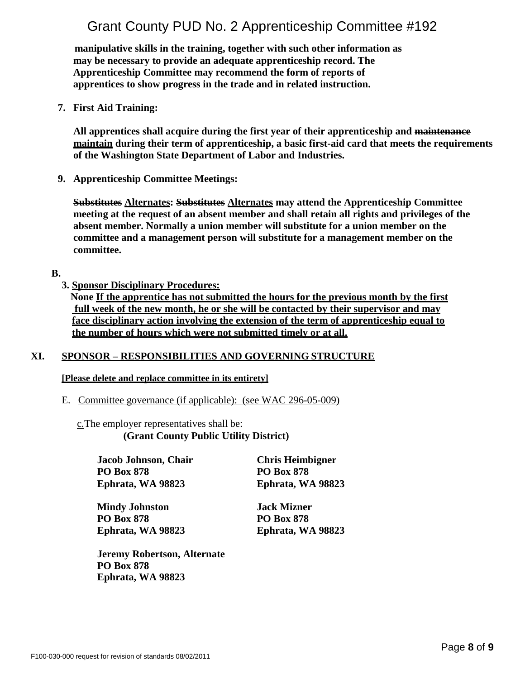**manipulative skills in the training, together with such other information as may be necessary to provide an adequate apprenticeship record. The Apprenticeship Committee may recommend the form of reports of apprentices to show progress in the trade and in related instruction.**

**7. First Aid Training:** 

**All apprentices shall acquire during the first year of their apprenticeship and maintenance maintain during their term of apprenticeship, a basic first-aid card that meets the requirements of the Washington State Department of Labor and Industries.**

**9. Apprenticeship Committee Meetings:**

**Substitutes Alternates: Substitutes Alternates may attend the Apprenticeship Committee meeting at the request of an absent member and shall retain all rights and privileges of the absent member. Normally a union member will substitute for a union member on the committee and a management person will substitute for a management member on the committee.**

#### **B.**

**3. Sponsor Disciplinary Procedures:**

**None If the apprentice has not submitted the hours for the previous month by the first full week of the new month, he or she will be contacted by their supervisor and may face disciplinary action involving the extension of the term of apprenticeship equal to the number of hours which were not submitted timely or at all.**

## **XI. SPONSOR – RESPONSIBILITIES AND GOVERNING STRUCTURE**

#### **[Please delete and replace committee in its entirety]**

E. Committee governance (if applicable): (see WAC 296-05-009)

c.The employer representatives shall be: **(Grant County Public Utility District)**

**Jacob Johnson, Chair PO Box 878 Ephrata, WA 98823** 

**Mindy Johnston PO Box 878 Ephrata, WA 98823**  **PO Box 878 Ephrata, WA 98823** 

**Chris Heimbigner** 

**Jack Mizner PO Box 878 Ephrata, WA 98823** 

**Jeremy Robertson, Alternate PO Box 878 Ephrata, WA 98823**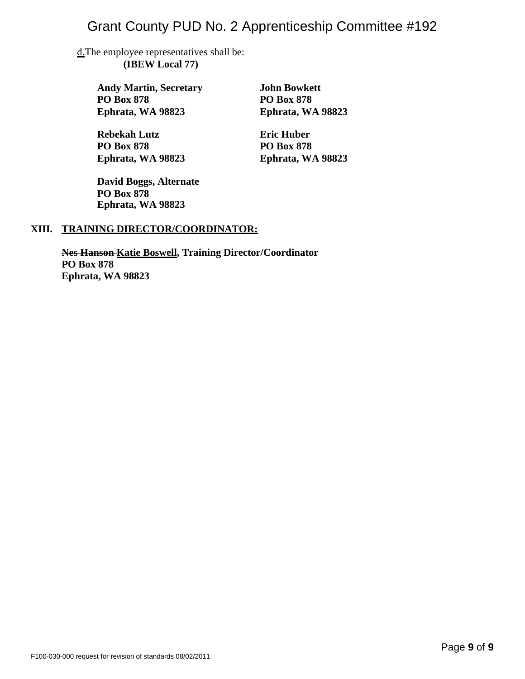d.The employee representatives shall be: **(IBEW Local 77)** 

> **Andy Martin, Secretary PO Box 878 Ephrata, WA 98823**

**Rebekah Lutz PO Box 878 Ephrata, WA 98823**  **John Bowkett PO Box 878 Ephrata, WA 98823** 

**Eric Huber PO Box 878 Ephrata, WA 98823** 

**David Boggs, Alternate PO Box 878 Ephrata, WA 98823**

## **XIII. TRAINING DIRECTOR/COORDINATOR:**

**Nes Hanson Katie Boswell, Training Director/Coordinator PO Box 878 Ephrata, WA 98823**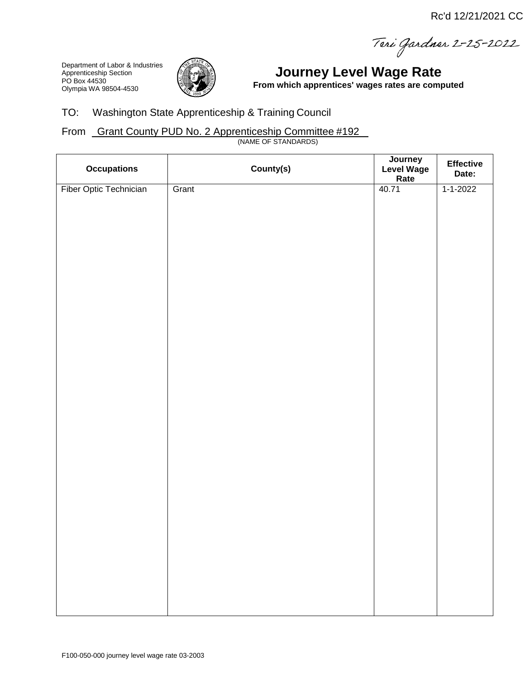Teri Gardner 2-25-2022

Department of Labor & Industries Apprenticeship Section PO Box 44530 Olympia WA 98504-4530



# **Journey Level Wage Rate**

**From which apprentices' wages rates are computed**

## TO: Washington State Apprenticeship & Training Council

## From Grant County PUD No. 2 Apprenticeship Committee #192

(NAME OF STANDARDS)

| <b>Occupations</b>     | County(s) | Journey<br>Level Wage<br>Rate | Effective<br>Date: |
|------------------------|-----------|-------------------------------|--------------------|
| Fiber Optic Technician | Grant     | 40.71                         | $1 - 1 - 2022$     |
|                        |           |                               |                    |
|                        |           |                               |                    |
|                        |           |                               |                    |
|                        |           |                               |                    |
|                        |           |                               |                    |
|                        |           |                               |                    |
|                        |           |                               |                    |
|                        |           |                               |                    |
|                        |           |                               |                    |
|                        |           |                               |                    |
|                        |           |                               |                    |
|                        |           |                               |                    |
|                        |           |                               |                    |
|                        |           |                               |                    |
|                        |           |                               |                    |
|                        |           |                               |                    |
|                        |           |                               |                    |
|                        |           |                               |                    |
|                        |           |                               |                    |
|                        |           |                               |                    |
|                        |           |                               |                    |
|                        |           |                               |                    |
|                        |           |                               |                    |
|                        |           |                               |                    |
|                        |           |                               |                    |
|                        |           |                               |                    |
|                        |           |                               |                    |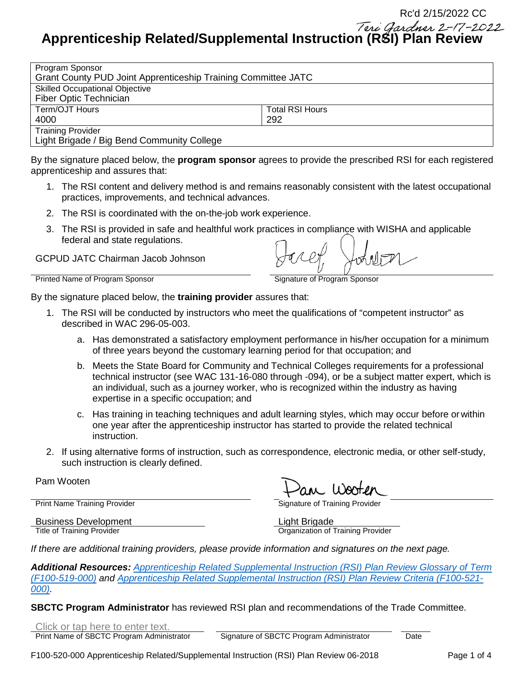Teri Gardner 2-17-2022 **Apprenticeship Related/Supplemental Instruction (RSI) Plan Review**

| Program Sponsor                                               |                        |  |  |
|---------------------------------------------------------------|------------------------|--|--|
| Grant County PUD Joint Apprenticeship Training Committee JATC |                        |  |  |
| <b>Skilled Occupational Objective</b>                         |                        |  |  |
| Fiber Optic Technician                                        |                        |  |  |
| Term/OJT Hours                                                | <b>Total RSI Hours</b> |  |  |
| 4000                                                          | 292                    |  |  |
| <b>Training Provider</b>                                      |                        |  |  |
| Light Brigade / Big Bend Community College                    |                        |  |  |

By the signature placed below, the **program sponsor** agrees to provide the prescribed RSI for each registered apprenticeship and assures that:

- 1. The RSI content and delivery method is and remains reasonably consistent with the latest occupational practices, improvements, and technical advances.
- 2. The RSI is coordinated with the on-the-job work experience.
- 3. The RSI is provided in safe and healthful work practices in compliance with WISHA and applicable federal and state regulations.

GCPUD JATC Chairman Jacob Johnson

Printed Name of Program Sponsor **Signature of Program Sponsor** Signature of Program Sponsor

By the signature placed below, the **training provider** assures that:

- 1. The RSI will be conducted by instructors who meet the qualifications of "competent instructor" as described in WAC 296-05-003.
	- a. Has demonstrated a satisfactory employment performance in his/her occupation for a minimum of three years beyond the customary learning period for that occupation; and
	- b. Meets the State Board for Community and Technical Colleges requirements for a professional technical instructor (see WAC 131-16-080 through -094), or be a subject matter expert, which is an individual, such as a journey worker, who is recognized within the industry as having expertise in a specific occupation; and
	- c. Has training in teaching techniques and adult learning styles, which may occur before orwithin one year after the apprenticeship instructor has started to provide the related technical instruction.
- 2. If using alternative forms of instruction, such as correspondence, electronic media, or other self-study, such instruction is clearly defined.

Pam Wooten

Print Name Training Provider **Signature of Training Provider** Signature of Training Provider

Business Development<br>
Title of Training Provider<br>
Title of Training Provider

**Organization of Training Provider** 

*If there are additional training providers, please provide information and signatures on the next page.*

*Additional Resources: [Apprenticeship Related Supplemental Instruction \(RSI\) Plan Review Glossary of Term](http://www.lni.wa.gov/FormPub/Detail.asp?DocID=2075) [\(F100-519-000\)](http://www.lni.wa.gov/FormPub/Detail.asp?DocID=2075) and [Apprenticeship Related Supplemental Instruction \(RSI\) Plan Review Criteria \(F100-521-](http://www.lni.wa.gov/FormPub/Detail.asp?DocID=2077) [000\).](http://www.lni.wa.gov/FormPub/Detail.asp?DocID=2077)* 

**SBCTC Program Administrator** has reviewed RSI plan and recommendations of the Trade Committee.

Click or tap here to enter text.

Print Name of SBCTC Program Administrator Signature of SBCTC Program Administrator Date

Rc'd 2/15/2022 CC

F100-520-000 Apprenticeship Related/Supplemental Instruction (RSI) Plan Review 06-2018 Page 1 of 4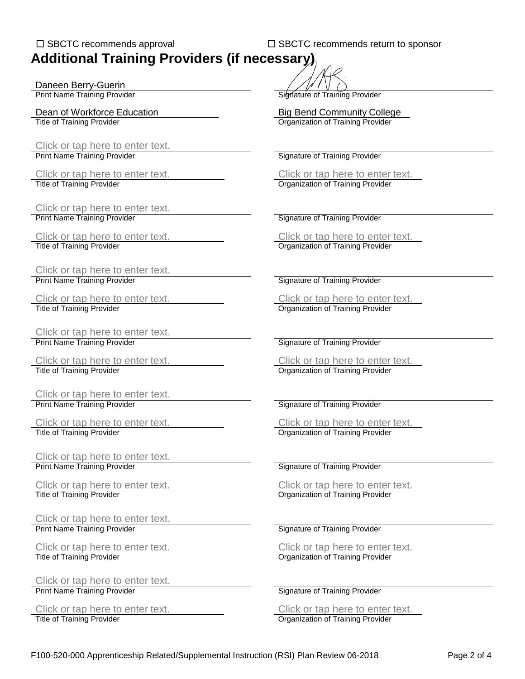## □ SBCTC recommends approval □ SBCTC recommends return to sponsor **Additional Training Providers (if necessary)**

Daneen Berry-Guerin<br>Print Name Training Provider

Click or tap here to enter text.<br>Print Name Training Provider

Click or tap here to enter text.<br>Print Name Training Provider

Click or tap here to enter text. Click or tap here to enter text. Title of Training Provider **Organization of Training Provider** Creation of Training Provider

Click or tap here to enter text.<br>Print Name Training Provider

Click or tap here to enter text.<br>
Title of Training Provider<br>
Click or tap here to enter text.

Click or tap here to enter text. Print Name Training Provider Signature of Training Provider Signature of Training Provider

Title of Training Provider **Organization of Training Provider** Creation of Training Provider

Click or tap here to enter text. Print Name Training Provider Signature of Training Provider Signature of Training Provider

Click or tap here to enter text.<br>
Title of Training Provider<br>
Click or tap here to enter text.<br>
Organization of Training Provider

Click or tap here to enter text.<br>Print Name Training Provider

Click or tap here to enter text.<br>
Title of Training Provider (Title of Training Provider or the Click or tap here to enter text.

Click or tap here to enter text.<br>Print Name Training Provider

Title of Training Provider Organization of Training Provider

Click or tap here to enter text. Print Name Training Provider Signature of Training Provider Signature of Training Provider

Click or tap here to enter text.<br>
Title of Training Provider<br>
Click or tap here to enter text.<br>
Organization of Training Provider

**Signature of Training Provider** 

Dean of Workforce Education<br>
Title of Training Provider<br>
Title of Training Provider<br>
Big Bend Community College **Organization of Training Provider** 

**Signature of Training Provider** 

Click or tap here to enter text.<br>
Title of Training Provider<br>
Click or tap here to enter text.<br>
Organization of Training Provider Organization of Training Provider

**Signature of Training Provider** 

**Signature of Training Provider** 

**Organization of Training Provider** 

Click or tap here to enter text. Click or tap here to enter text.

Organization of Training Provider

**Signature of Training Provider** 

Organization of Training Provider

**Signature of Training Provider** 

Click or tap here to enter text. Click or tap here to enter text.

**Organization of Training Provider**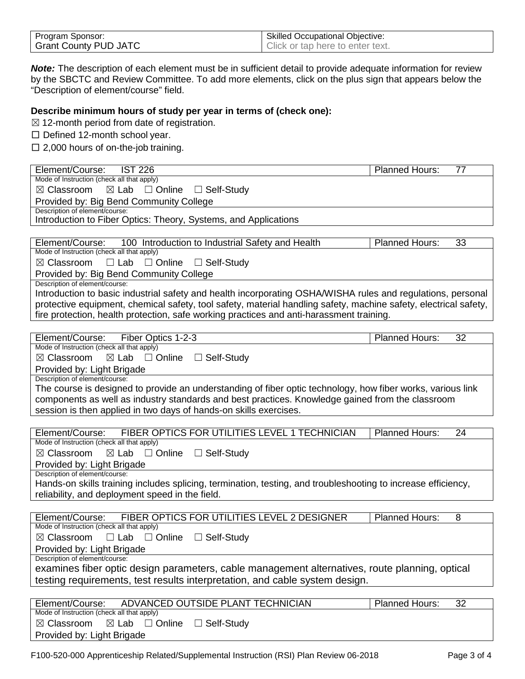| Program Sponsor:             | <b>Skilled Occupational Objective:</b> |
|------------------------------|----------------------------------------|
| <b>Grant County PUD JATC</b> | Click or tap here to enter text.       |

*Note:* The description of each element must be in sufficient detail to provide adequate information for review by the SBCTC and Review Committee. To add more elements, click on the plus sign that appears below the "Description of element/course" field.

#### **Describe minimum hours of study per year in terms of (check one):**

 $\boxtimes$  12-month period from date of registration.

□ Defined 12-month school year.

 $\square$  2,000 hours of on-the-job training.

|                                                                                                                  | <b>Planned Hours:</b><br>77              |
|------------------------------------------------------------------------------------------------------------------|------------------------------------------|
| Mode of Instruction (check all that apply)                                                                       |                                          |
| $\boxtimes$ Lab<br>$\boxtimes$ Classroom<br>$\Box$ Online $\Box$ Self-Study                                      |                                          |
| Provided by: Big Bend Community College                                                                          |                                          |
| Description of element/course:                                                                                   |                                          |
| Introduction to Fiber Optics: Theory, Systems, and Applications                                                  |                                          |
|                                                                                                                  |                                          |
| Element/Course:<br>100 Introduction to Industrial Safety and Health                                              | <b>Planned Hours:</b><br>33              |
| Mode of Instruction (check all that apply)                                                                       |                                          |
| $\boxtimes$ Classroom<br>$\Box$ Lab<br>$\Box$ Online<br>□ Self-Study                                             |                                          |
| Provided by: Big Bend Community College                                                                          |                                          |
| Description of element/course:                                                                                   |                                          |
| Introduction to basic industrial safety and health incorporating OSHA/WISHA rules and regulations, personal      |                                          |
| protective equipment, chemical safety, tool safety, material handling safety, machine safety, electrical safety, |                                          |
| fire protection, health protection, safe working practices and anti-harassment training.                         |                                          |
|                                                                                                                  |                                          |
| Element/Course: Fiber Optics 1-2-3                                                                               | Planned Hours:<br>32                     |
| Mode of Instruction (check all that apply)                                                                       |                                          |
| $\square$ Online<br>$\boxtimes$ Classroom<br>$\boxtimes$ Lab<br>$\Box$ Self-Study                                |                                          |
| Provided by: Light Brigade                                                                                       |                                          |
| Description of element/course:                                                                                   |                                          |
| The course is designed to provide an understanding of fiber optic technology, how fiber works, various link      |                                          |
| components as well as industry standards and best practices. Knowledge gained from the classroom                 |                                          |
| session is then applied in two days of hands-on skills exercises.                                                |                                          |
|                                                                                                                  |                                          |
|                                                                                                                  |                                          |
| FIBER OPTICS FOR UTILITIES LEVEL 1 TECHNICIAN<br>Element/Course:                                                 | <b>Planned Hours:</b><br>24              |
| Mode of Instruction (check all that apply)                                                                       |                                          |
| ⊠ Classroom<br>$\boxtimes$ Lab $\Box$ Online<br>□ Self-Study                                                     |                                          |
|                                                                                                                  |                                          |
| Provided by: Light Brigade<br>Description of element/course:                                                     |                                          |
| Hands-on skills training includes splicing, termination, testing, and troubleshooting to increase efficiency,    |                                          |
| reliability, and deployment speed in the field.                                                                  |                                          |
|                                                                                                                  |                                          |
|                                                                                                                  | 8                                        |
| FIBER OPTICS FOR UTILITIES LEVEL 2 DESIGNER<br>Element/Course:<br>Mode of Instruction (check all that apply)     | Planned Hours:                           |
| $\square$ Online<br>$\boxtimes$ Classroom<br>$\Box$ Lab<br>$\Box$ Self-Study                                     |                                          |
|                                                                                                                  |                                          |
| Provided by: Light Brigade<br>Description of element/course:                                                     |                                          |
| examines fiber optic design parameters, cable management alternatives, route planning, optical                   |                                          |
|                                                                                                                  |                                          |
| testing requirements, test results interpretation, and cable system design.                                      |                                          |
|                                                                                                                  |                                          |
| ADVANCED OUTSIDE PLANT TECHNICIAN<br>Element/Course:<br>Mode of Instruction (check all that apply)               | $\overline{32}$<br><b>Planned Hours:</b> |
| $\Box$ Self-Study<br>$\boxtimes$ Classroom<br>$\boxtimes$ Lab<br>$\Box$ Online                                   |                                          |